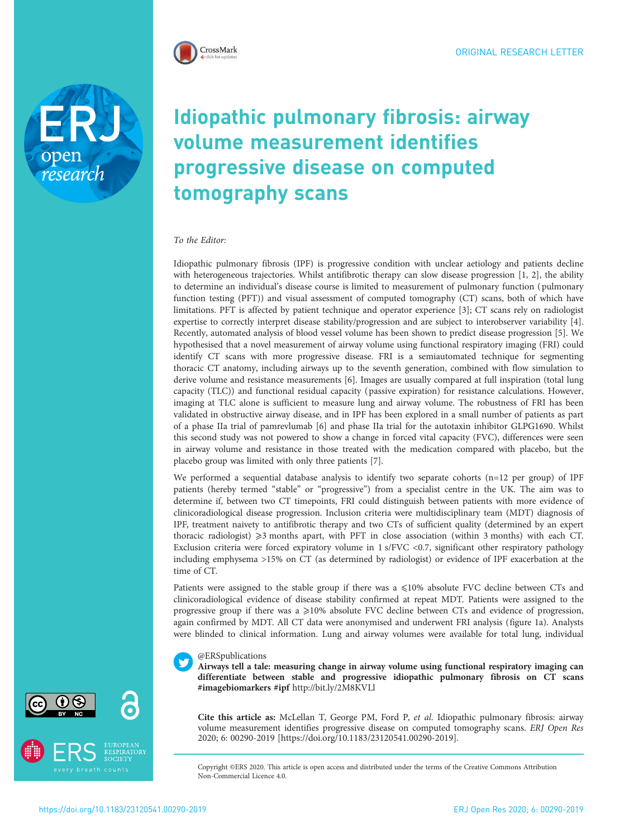

open<br>research

# Idiopathic pulmonary fibrosis: airway volume measurement identifies progressive disease on computed tomography scans

### To the Editor:

Idiopathic pulmonary fibrosis (IPF) is progressive condition with unclear aetiology and patients decline with heterogeneous trajectories. Whilst antifibrotic therapy can slow disease progression [[1](#page-2-0), [2\]](#page-2-0), the ability to determine an individual's disease course is limited to measurement of pulmonary function ( pulmonary function testing (PFT)) and visual assessment of computed tomography (CT) scans, both of which have limitations. PFT is affected by patient technique and operator experience [\[3\]](#page-2-0); CT scans rely on radiologist expertise to correctly interpret disease stability/progression and are subject to interobserver variability [\[4\]](#page-2-0). Recently, automated analysis of blood vessel volume has been shown to predict disease progression [[5\]](#page-2-0). We hypothesised that a novel measurement of airway volume using functional respiratory imaging (FRI) could identify CT scans with more progressive disease. FRI is a semiautomated technique for segmenting thoracic CT anatomy, including airways up to the seventh generation, combined with flow simulation to derive volume and resistance measurements [\[6\]](#page-2-0). Images are usually compared at full inspiration (total lung capacity (TLC)) and functional residual capacity ( passive expiration) for resistance calculations. However, imaging at TLC alone is sufficient to measure lung and airway volume. The robustness of FRI has been validated in obstructive airway disease, and in IPF has been explored in a small number of patients as part of a phase IIa trial of pamrevlumab [\[6\]](#page-2-0) and phase IIa trial for the autotaxin inhibitor GLPG1690. Whilst this second study was not powered to show a change in forced vital capacity (FVC), differences were seen in airway volume and resistance in those treated with the medication compared with placebo, but the placebo group was limited with only three patients [[7\]](#page-2-0).

We performed a sequential database analysis to identify two separate cohorts (n=12 per group) of IPF patients (hereby termed "stable" or "progressive") from a specialist centre in the UK. The aim was to determine if, between two CT timepoints, FRI could distinguish between patients with more evidence of clinicoradiological disease progression. Inclusion criteria were multidisciplinary team (MDT) diagnosis of IPF, treatment naivety to antifibrotic therapy and two CTs of sufficient quality (determined by an expert thoracic radiologist)  $\geq$ 3 months apart, with PFT in close association (within 3 months) with each CT. Exclusion criteria were forced expiratory volume in 1 s/FVC <0.7, significant other respiratory pathology including emphysema >15% on CT (as determined by radiologist) or evidence of IPF exacerbation at the time of CT.

Patients were assigned to the stable group if there was a  $\leq 10\%$  absolute FVC decline between CTs and clinicoradiological evidence of disease stability confirmed at repeat MDT. Patients were assigned to the progressive group if there was a  $\geq$ 10% absolute FVC decline between CTs and evidence of progression, again confirmed by MDT. All CT data were anonymised and underwent FRI analysis [\(figure 1a](#page-1-0)). Analysts were blinded to clinical information. Lung and airway volumes were available for total lung, individual

#### @ERSpublications

Airways tell a tale: measuring change in airway volume using functional respiratory imaging can differentiate between stable and progressive idiopathic pulmonary fibrosis on CT scans #imagebiomarkers #ipf <http://bit.ly/2M8KVLl>

Cite this article as: McLellan T, George PM, Ford P, et al. Idiopathic pulmonary fibrosis: airway volume measurement identifies progressive disease on computed tomography scans. ERJ Open Res 2020; 6: 00290-2019 [\[https://doi.org/10.1183/23120541.00290-2019\].](https://doi.org/10.1183/23120541.00290-2019)

Copyright ©ERS 2020. This article is open access and distributed under the terms of the Creative Commons Attribution Non-Commercial Licence 4.0.



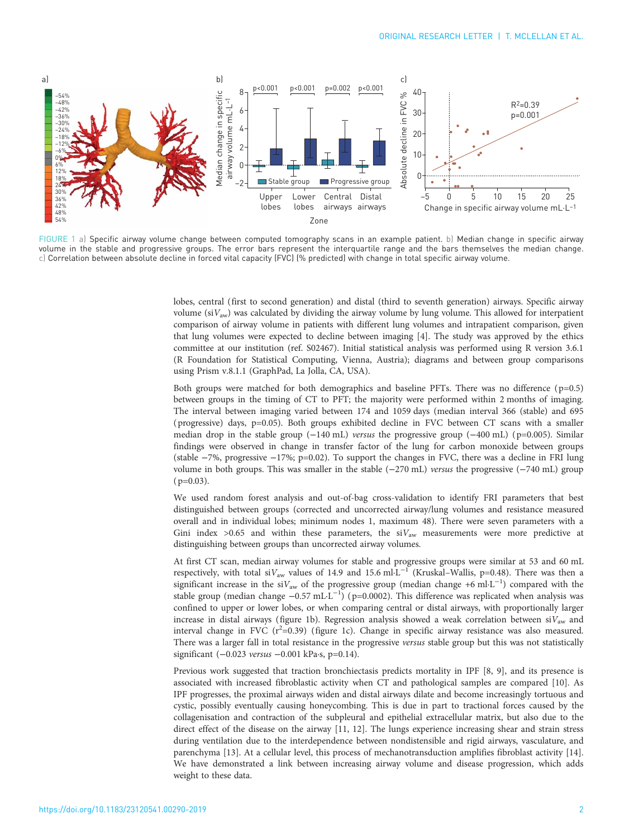<span id="page-1-0"></span>

FIGURE 1 a) Specific airway volume change between computed tomography scans in an example patient. b) Median change in specific airway volume in the stable and progressive groups. The error bars represent the interquartile range and the bars themselves the median change. c) Correlation between absolute decline in forced vital capacity (FVC) (% predicted) with change in total specific airway volume.

lobes, central (first to second generation) and distal (third to seventh generation) airways. Specific airway volume ( $sV_{aw}$ ) was calculated by dividing the airway volume by lung volume. This allowed for interpatient comparison of airway volume in patients with different lung volumes and intrapatient comparison, given that lung volumes were expected to decline between imaging [\[4](#page-2-0)]. The study was approved by the ethics committee at our institution (ref. S02467). Initial statistical analysis was performed using R version 3.6.1 (R Foundation for Statistical Computing, Vienna, Austria); diagrams and between group comparisons using Prism v.8.1.1 (GraphPad, La Jolla, CA, USA).

Both groups were matched for both demographics and baseline PFTs. There was no difference  $(p=0.5)$ between groups in the timing of CT to PFT; the majority were performed within 2 months of imaging. The interval between imaging varied between 174 and 1059 days (median interval 366 (stable) and 695 ( progressive) days, p=0.05). Both groups exhibited decline in FVC between CT scans with a smaller median drop in the stable group (−140 mL) versus the progressive group (−400 mL) ( p=0.005). Similar findings were observed in change in transfer factor of the lung for carbon monoxide between groups (stable −7%, progressive −17%; p=0.02). To support the changes in FVC, there was a decline in FRI lung volume in both groups. This was smaller in the stable (−270 mL) versus the progressive (−740 mL) group  $(p=0.03)$ .

We used random forest analysis and out-of-bag cross-validation to identify FRI parameters that best distinguished between groups (corrected and uncorrected airway/lung volumes and resistance measured overall and in individual lobes; minimum nodes 1, maximum 48). There were seven parameters with a Gini index >0.65 and within these parameters, the  $siV_{aw}$  measurements were more predictive at distinguishing between groups than uncorrected airway volumes.

At first CT scan, median airway volumes for stable and progressive groups were similar at 53 and 60 mL respectively, with total siV<sub>aw</sub> values of 14.9 and 15.6 ml·L<sup>-1</sup> (Kruskal-Wallis, p=0.48). There was then a significant increase in the siV<sub>aw</sub> of the progressive group (median change +6 ml⋅L<sup>-1</sup>) compared with the stable group (median change -0.57 mL·L<sup>-1</sup>) (p=0.0002). This difference was replicated when analysis was confined to upper or lower lobes, or when comparing central or distal airways, with proportionally larger increase in distal airways (figure 1b). Regression analysis showed a weak correlation between  $siV_{aw}$  and interval change in FVC  $(r^2=0.39)$  (figure 1c). Change in specific airway resistance was also measured. There was a larger fall in total resistance in the progressive versus stable group but this was not statistically significant (-0.023 versus -0.001 kPa·s, p=0.14).

Previous work suggested that traction bronchiectasis predicts mortality in IPF [[8](#page-2-0), [9\]](#page-2-0), and its presence is associated with increased fibroblastic activity when CT and pathological samples are compared [[10\]](#page-2-0). As IPF progresses, the proximal airways widen and distal airways dilate and become increasingly tortuous and cystic, possibly eventually causing honeycombing. This is due in part to tractional forces caused by the collagenisation and contraction of the subpleural and epithelial extracellular matrix, but also due to the direct effect of the disease on the airway [\[11, 12\]](#page-2-0). The lungs experience increasing shear and strain stress during ventilation due to the interdependence between nondistensible and rigid airways, vasculature, and parenchyma [[13](#page-2-0)]. At a cellular level, this process of mechanotransduction amplifies fibroblast activity [\[14\]](#page-2-0). We have demonstrated a link between increasing airway volume and disease progression, which adds weight to these data.